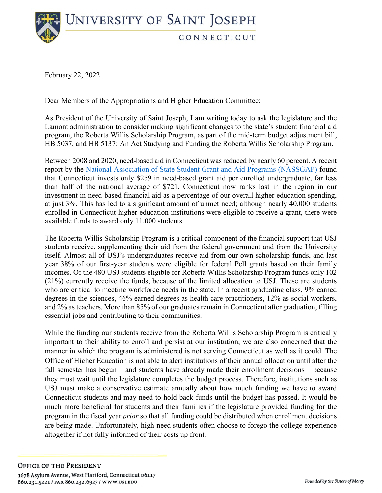**UNIVERSITY OF SAINT JOSEPH** CONNECTICUT

February 22, 2022

Dear Members of the Appropriations and Higher Education Committee:

As President of the University of Saint Joseph, I am writing today to ask the legislature and the Lamont administration to consider making significant changes to the state's student financial aid program, the Roberta Willis Scholarship Program, as part of the mid-term budget adjustment bill, HB 5037, and HB 5137: An Act Studying and Funding the Roberta Willis Scholarship Program.

Between 2008 and 2020, need-based aid in Connecticut was reduced by nearly 60 percent. A recent report by the [National Association of State Student Grant and Aid Programs \(NASSGAP\)](https://www.nassgapsurvey.com/survey_reports/2019-2020-51st.pdf) found that Connecticut invests only \$259 in need-based grant aid per enrolled undergraduate, far less than half of the national average of \$721. Connecticut now ranks last in the region in our investment in need-based financial aid as a percentage of our overall higher education spending, at just 3%. This has led to a significant amount of unmet need; although nearly 40,000 students enrolled in Connecticut higher education institutions were eligible to receive a grant, there were available funds to award only 11,000 students.

The Roberta Willis Scholarship Program is a critical component of the financial support that USJ students receive, supplementing their aid from the federal government and from the University itself. Almost all of USJ's undergraduates receive aid from our own scholarship funds, and last year 38% of our first-year students were eligible for federal Pell grants based on their family incomes. Of the 480 USJ students eligible for Roberta Willis Scholarship Program funds only 102 (21%) currently receive the funds, because of the limited allocation to USJ. These are students who are critical to meeting workforce needs in the state. In a recent graduating class, 9% earned degrees in the sciences, 46% earned degrees as health care practitioners, 12% as social workers, and 2% as teachers. More than 85% of our graduates remain in Connecticut after graduation, filling essential jobs and contributing to their communities.

While the funding our students receive from the Roberta Willis Scholarship Program is critically important to their ability to enroll and persist at our institution, we are also concerned that the manner in which the program is administered is not serving Connecticut as well as it could. The Office of Higher Education is not able to alert institutions of their annual allocation until after the fall semester has begun – and students have already made their enrollment decisions – because they must wait until the legislature completes the budget process. Therefore, institutions such as USJ must make a conservative estimate annually about how much funding we have to award Connecticut students and may need to hold back funds until the budget has passed. It would be much more beneficial for students and their families if the legislature provided funding for the program in the fiscal year *prior* so that all funding could be distributed when enrollment decisions are being made. Unfortunately, high-need students often choose to forego the college experience altogether if not fully informed of their costs up front.